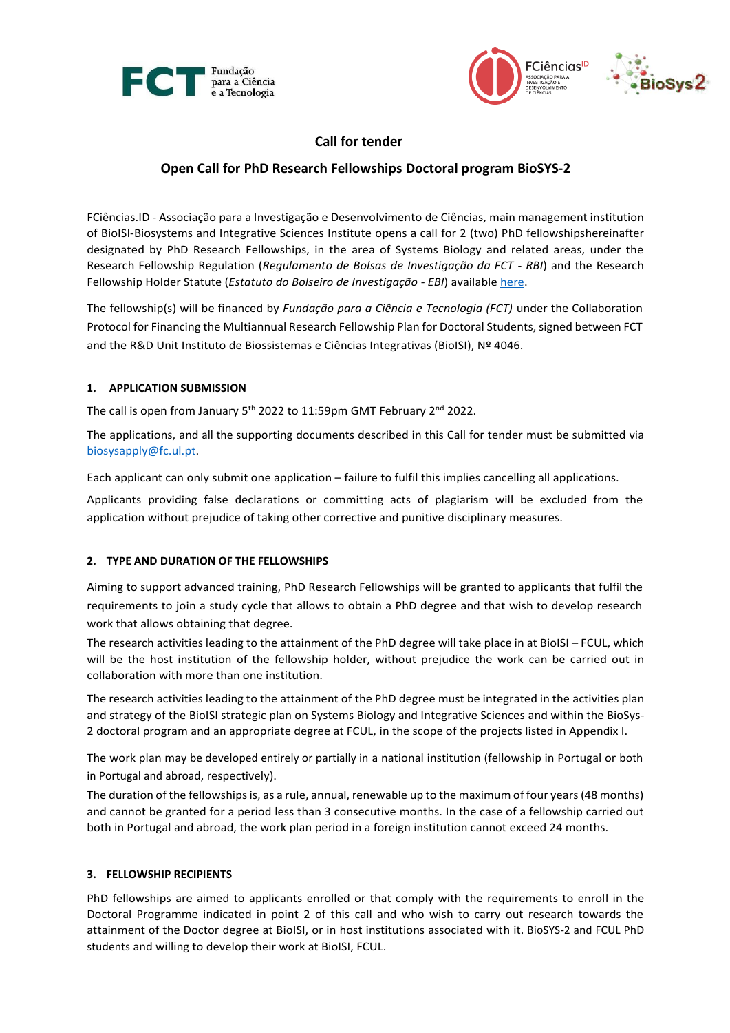



# **Call for tender**

## **Open Call for PhD Research Fellowships Doctoral program BioSYS-2**

FCiências.ID - Associação para a Investigação e Desenvolvimento de Ciências, main management institution of BioISI-Biosystems and Integrative Sciences Institute opens a call for 2 (two) PhD fellowshipshereinafter designated by PhD Research Fellowships, in the area of Systems Biology and related areas, under the Research Fellowship Regulation (*Regulamento de Bolsas de Investigação da FCT - RBI*) and the Research Fellowship Holder Statute (*Estatuto do Bolseiro de Investigação - EBI*) available [here.](https://www.fct.pt/apoios/bolsas/regulamentos.phtml.pt)

The fellowship(s) will be financed by *Fundação para a Ciência e Tecnologia (FCT)* under the Collaboration Protocol for Financing the Multiannual Research Fellowship Plan for Doctoral Students, signed between FCT and the R&D Unit Instituto de Biossistemas e Ciências Integrativas (BioISI), Nº 4046.

## **1. APPLICATION SUBMISSION**

The call is open from January 5<sup>th</sup> 2022 to 11:59pm GMT February 2<sup>nd</sup> 2022.

The applications, and all the supporting documents described in this Call for tender must be submitted via [biosysapply@fc.ul.pt.](mailto:biosysapply@fc.ul.pt)

Each applicant can only submit one application – failure to fulfil this implies cancelling all applications.

Applicants providing false declarations or committing acts of plagiarism will be excluded from the application without prejudice of taking other corrective and punitive disciplinary measures.

## **2. TYPE AND DURATION OF THE FELLOWSHIPS**

Aiming to support advanced training, PhD Research Fellowships will be granted to applicants that fulfil the requirements to join a study cycle that allows to obtain a PhD degree and that wish to develop research work that allows obtaining that degree.

The research activities leading to the attainment of the PhD degree will take place in at BioISI – FCUL, which will be the host institution of the fellowship holder, without prejudice the work can be carried out in collaboration with more than one institution.

The research activities leading to the attainment of the PhD degree must be integrated in the activities plan and strategy of the BioISI strategic plan on Systems Biology and Integrative Sciences and within the BioSys-2 doctoral program and an appropriate degree at FCUL, in the scope of the projects listed in Appendix I.

The work plan may be developed entirely or partially in a national institution (fellowship in Portugal or both in Portugal and abroad, respectively).

The duration of the fellowships is, as a rule, annual, renewable up to the maximum of four years (48 months) and cannot be granted for a period less than 3 consecutive months. In the case of a fellowship carried out both in Portugal and abroad, the work plan period in a foreign institution cannot exceed 24 months.

## **3. FELLOWSHIP RECIPIENTS**

PhD fellowships are aimed to applicants enrolled or that comply with the requirements to enroll in the Doctoral Programme indicated in point 2 of this call and who wish to carry out research towards the attainment of the Doctor degree at BioISI, or in host institutions associated with it. BioSYS-2 and FCUL PhD students and willing to develop their work at BioISI, FCUL.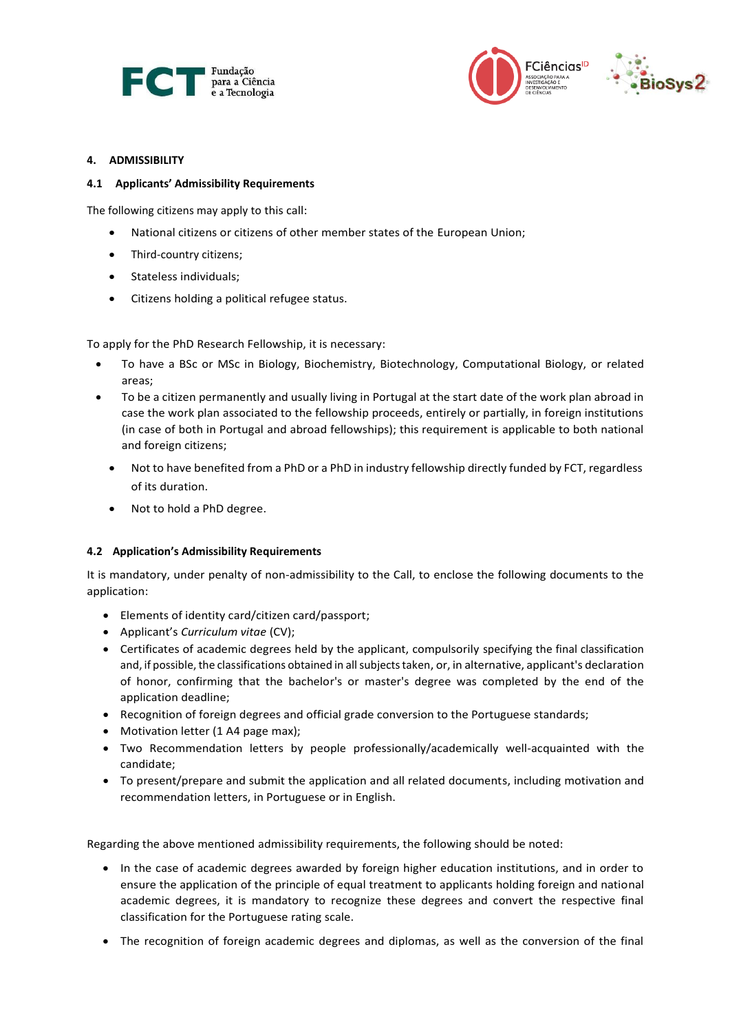



### **4. ADMISSIBILITY**

#### **4.1 Applicants' Admissibility Requirements**

The following citizens may apply to this call:

- National citizens or citizens of other member states of the European Union;
- Third-country citizens;
- Stateless individuals;
- Citizens holding a political refugee status.

To apply for the PhD Research Fellowship, it is necessary:

- To have a BSc or MSc in Biology, Biochemistry, Biotechnology, Computational Biology, or related areas;
- To be a citizen permanently and usually living in Portugal at the start date of the work plan abroad in case the work plan associated to the fellowship proceeds, entirely or partially, in foreign institutions (in case of both in Portugal and abroad fellowships); this requirement is applicable to both national and foreign citizens;
	- Not to have benefited from a PhD or a PhD in industry fellowship directly funded by FCT, regardless of its duration.
	- Not to hold a PhD degree.

## **4.2 Application's Admissibility Requirements**

It is mandatory, under penalty of non-admissibility to the Call, to enclose the following documents to the application:

- Elements of identity card/citizen card/passport;
- Applicant's *Curriculum vitae* (CV);
- Certificates of academic degrees held by the applicant, compulsorily specifying the final classification and, if possible, the classifications obtained in all subjects taken, or, in alternative, applicant's declaration of honor, confirming that the bachelor's or master's degree was completed by the end of the application deadline;
- Recognition of foreign degrees and official grade conversion to the Portuguese standards;
- Motivation letter (1 A4 page max);
- Two Recommendation letters by people professionally/academically well-acquainted with the candidate;
- To present/prepare and submit the application and all related documents, including motivation and recommendation letters, in Portuguese or in English.

Regarding the above mentioned admissibility requirements, the following should be noted:

- In the case of academic degrees awarded by foreign higher education institutions, and in order to ensure the application of the principle of equal treatment to applicants holding foreign and national academic degrees, it is mandatory to recognize these degrees and convert the respective final classification for the Portuguese rating scale.
- The recognition of foreign academic degrees and diplomas, as well as the conversion of the final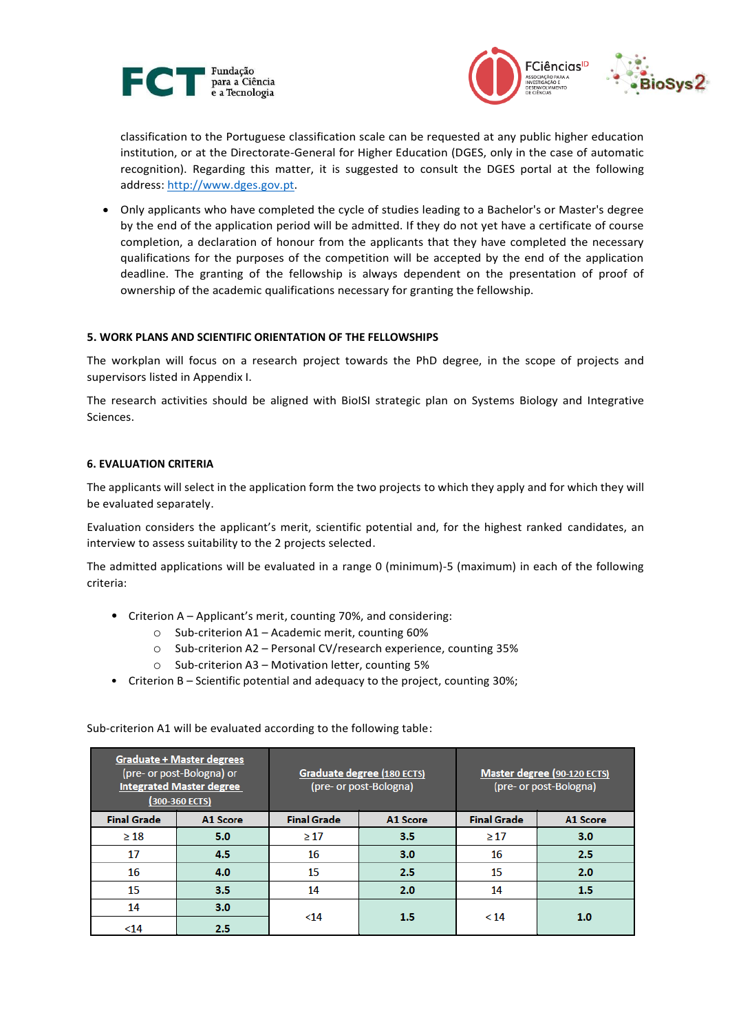



classification to the Portuguese classification scale can be requested at any public higher education institution, or at the Directorate-General for Higher Education (DGES, only in the case of automatic recognition). Regarding this matter, it is suggested to consult the DGES portal at the following address[: http://www.dges.gov.pt.](http://www.dges.gov.pt/)

• Only applicants who have completed the cycle of studies leading to a Bachelor's or Master's degree by the end of the application period will be admitted. If they do not yet have a certificate of course completion, a declaration of honour from the applicants that they have completed the necessary qualifications for the purposes of the competition will be accepted by the end of the application deadline. The granting of the fellowship is always dependent on the presentation of proof of ownership of the academic qualifications necessary for granting the fellowship.

## **5. WORK PLANS AND SCIENTIFIC ORIENTATION OF THE FELLOWSHIPS**

The workplan will focus on a research project towards the PhD degree, in the scope of projects and supervisors listed in Appendix I.

The research activities should be aligned with BioISI strategic plan on Systems Biology and Integrative Sciences.

## **6. EVALUATION CRITERIA**

The applicants will select in the application form the two projects to which they apply and for which they will be evaluated separately.

Evaluation considers the applicant's merit, scientific potential and, for the highest ranked candidates, an interview to assess suitability to the 2 projects selected.

The admitted applications will be evaluated in a range 0 (minimum)-5 (maximum) in each of the following criteria:

- Criterion A Applicant's merit, counting 70%, and considering:
	- o Sub-criterion A1 Academic merit, counting 60%
	- o Sub-criterion A2 Personal CV/research experience, counting 35%
	- o Sub-criterion A3 Motivation letter, counting 5%
- Criterion B Scientific potential and adequacy to the project, counting 30%;

**Graduate + Master degrees** (pre- or post-Bologna) or Graduate degree (180 ECTS) Master degree (90-120 ECTS) (pre- or post-Bologna) **Integrated Master degree** (pre- or post-Bologna) (300-360 ECTS) **Final Grade** A1 Score **Final Grade** A1 Score **Final Grade** A1 Score  $\geq 18$ 5.0  $\geq 17$ 3.5  $\geq 17$  $3.0$  $17$ 4.5 16  $3.0$ 16  $2.5$ 16 4.0 15 2.5 15  $2.0$ 15  $3.5$ 14  $2.0$ 14  $1.5$  $14$  $3.0$  $<sub>14</sub>$ </sub> 1.5  $< 14$  $1.0$  $2.5$  $<sub>14</sub>$ </sub>

Sub-criterion A1 will be evaluated according to the following table: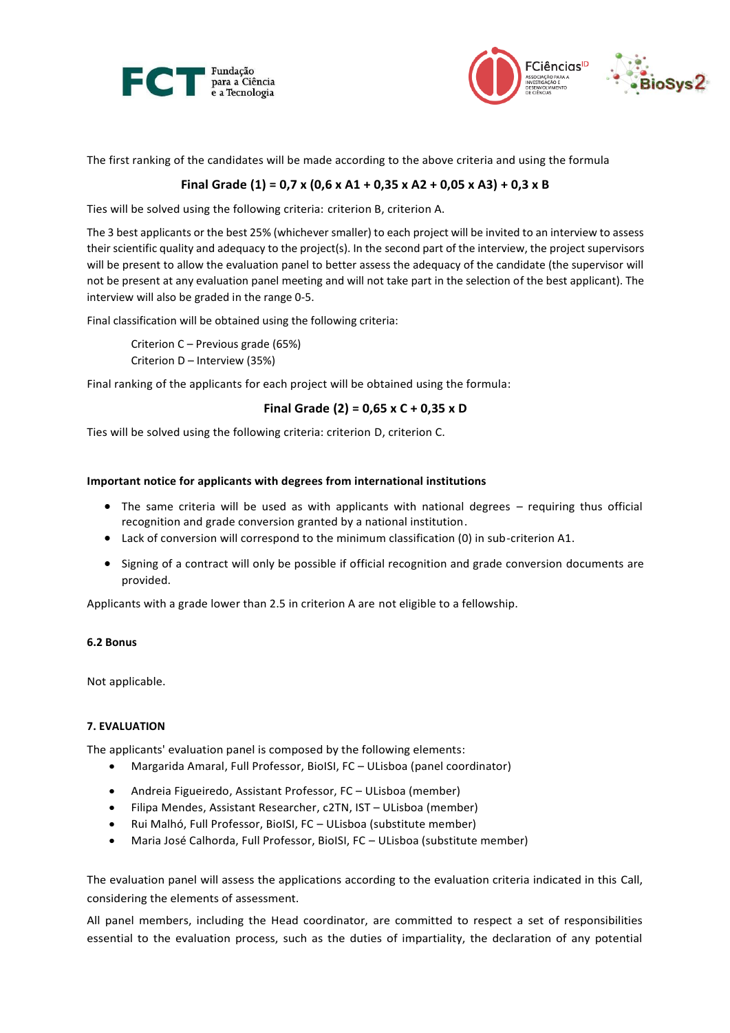



The first ranking of the candidates will be made according to the above criteria and using the formula

## **Final Grade (1) = 0,7 x (0,6 x A1 + 0,35 x A2 + 0,05 x A3) + 0,3 x B**

Ties will be solved using the following criteria: criterion B, criterion A.

The 3 best applicants or the best 25% (whichever smaller) to each project will be invited to an interview to assess their scientific quality and adequacy to the project(s). In the second part of the interview, the project supervisors will be present to allow the evaluation panel to better assess the adequacy of the candidate (the supervisor will not be present at any evaluation panel meeting and will not take part in the selection of the best applicant). The interview will also be graded in the range 0-5.

Final classification will be obtained using the following criteria:

Criterion C – Previous grade (65%) Criterion D – Interview (35%)

Final ranking of the applicants for each project will be obtained using the formula:

## **Final Grade (2) = 0,65 x C + 0,35 x D**

Ties will be solved using the following criteria: criterion D, criterion C.

#### **Important notice for applicants with degrees from international institutions**

- The same criteria will be used as with applicants with national degrees requiring thus official recognition and grade conversion granted by a national institution.
- Lack of conversion will correspond to the minimum classification (0) in sub-criterion A1.
- Signing of a contract will only be possible if official recognition and grade conversion documents are provided.

Applicants with a grade lower than 2.5 in criterion A are not eligible to a fellowship.

## **6.2 Bonus**

Not applicable.

#### **7. EVALUATION**

The applicants' evaluation panel is composed by the following elements:

- Margarida Amaral, Full Professor, BioISI, FC ULisboa (panel coordinator)
- Andreia Figueiredo, Assistant Professor, FC ULisboa (member)
- Filipa Mendes, Assistant Researcher, c2TN, IST ULisboa (member)
- Rui Malhó, Full Professor, BioISI, FC ULisboa (substitute member)
- Maria José Calhorda, Full Professor, BioISI, FC ULisboa (substitute member)

The evaluation panel will assess the applications according to the evaluation criteria indicated in this Call, considering the elements of assessment.

All panel members, including the Head coordinator, are committed to respect a set of responsibilities essential to the evaluation process, such as the duties of impartiality, the declaration of any potential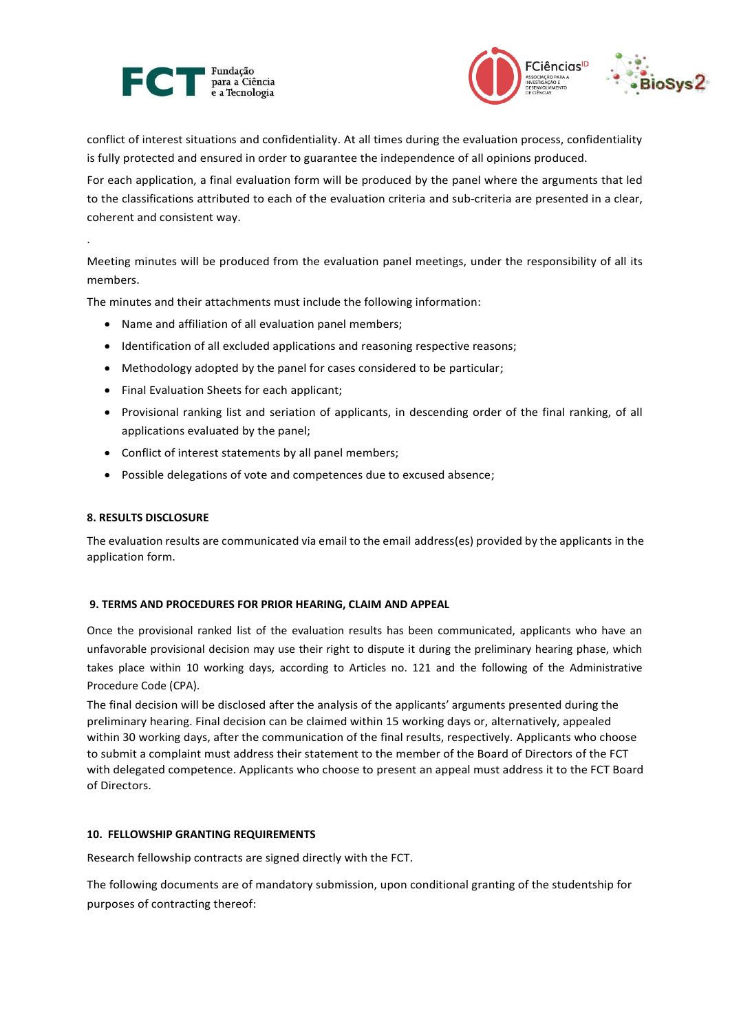



conflict of interest situations and confidentiality. At all times during the evaluation process, confidentiality is fully protected and ensured in order to guarantee the independence of all opinions produced.

For each application, a final evaluation form will be produced by the panel where the arguments that led to the classifications attributed to each of the evaluation criteria and sub-criteria are presented in a clear, coherent and consistent way.

Meeting minutes will be produced from the evaluation panel meetings, under the responsibility of all its members.

The minutes and their attachments must include the following information:

- Name and affiliation of all evaluation panel members;
- Identification of all excluded applications and reasoning respective reasons;
- Methodology adopted by the panel for cases considered to be particular;
- Final Evaluation Sheets for each applicant;
- Provisional ranking list and seriation of applicants, in descending order of the final ranking, of all applications evaluated by the panel;
- Conflict of interest statements by all panel members;
- Possible delegations of vote and competences due to excused absence;

## **8. RESULTS DISCLOSURE**

.

The evaluation results are communicated via email to the email address(es) provided by the applicants in the application form.

## **9. TERMS AND PROCEDURES FOR PRIOR HEARING, CLAIM AND APPEAL**

Once the provisional ranked list of the evaluation results has been communicated, applicants who have an unfavorable provisional decision may use their right to dispute it during the preliminary hearing phase, which takes place within 10 working days, according to Articles no. 121 and the following of the Administrative Procedure Code (CPA).

The final decision will be disclosed after the analysis of the applicants' arguments presented during the preliminary hearing. Final decision can be claimed within 15 working days or, alternatively, appealed within 30 working days, after the communication of the final results, respectively. Applicants who choose to submit a complaint must address their statement to the member of the Board of Directors of the FCT with delegated competence. Applicants who choose to present an appeal must address it to the FCT Board of Directors.

## **10. FELLOWSHIP GRANTING REQUIREMENTS**

Research fellowship contracts are signed directly with the FCT.

The following documents are of mandatory submission, upon conditional granting of the studentship for purposes of contracting thereof: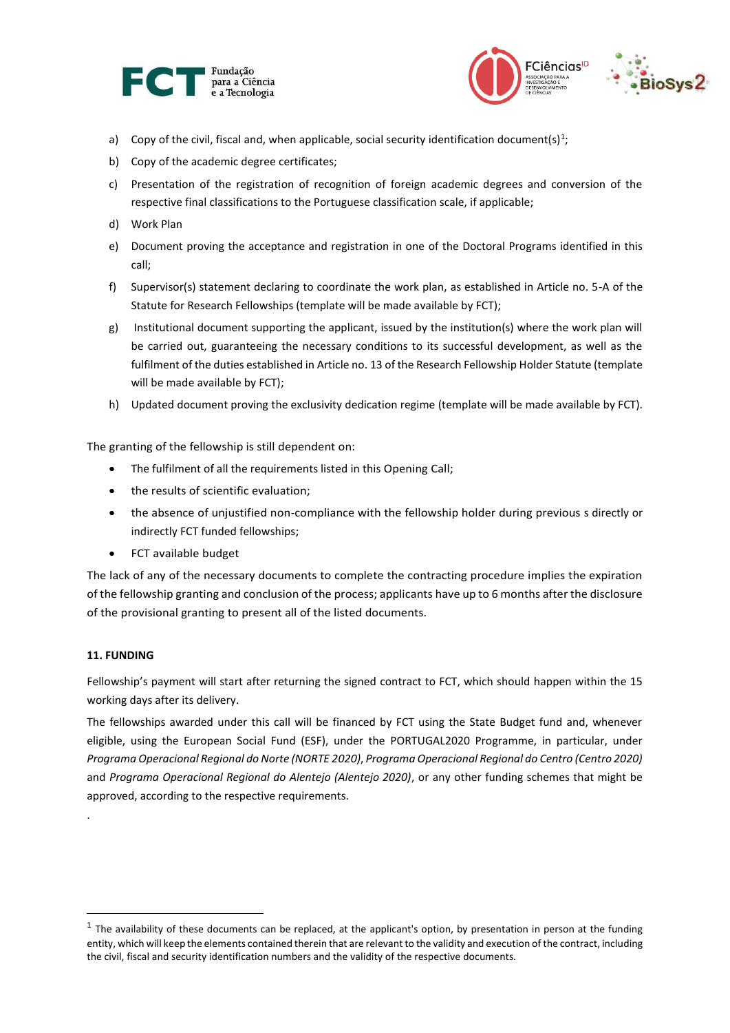



- a) Copy of the civil, fiscal and, when applicable, social security identification document(s)<sup>1</sup>;
- b) Copy of the academic degree certificates;
- c) Presentation of the registration of recognition of foreign academic degrees and conversion of the respective final classifications to the Portuguese classification scale, if applicable;
- d) Work Plan
- e) Document proving the acceptance and registration in one of the Doctoral Programs identified in this call;
- f) Supervisor(s) statement declaring to coordinate the work plan, as established in Article no. 5-A of the Statute for Research Fellowships (template will be made available by FCT);
- g) Institutional document supporting the applicant, issued by the institution(s) where the work plan will be carried out, guaranteeing the necessary conditions to its successful development, as well as the fulfilment of the duties established in Article no. 13 of the Research Fellowship Holder Statute (template will be made available by FCT);
- h) Updated document proving the exclusivity dedication regime (template will be made available by FCT).

The granting of the fellowship is still dependent on:

- The fulfilment of all the requirements listed in this Opening Call;
- the results of scientific evaluation;
- the absence of unjustified non-compliance with the fellowship holder during previous s directly or indirectly FCT funded fellowships;
- FCT available budget

The lack of any of the necessary documents to complete the contracting procedure implies the expiration of the fellowship granting and conclusion of the process; applicants have up to 6 months after the disclosure of the provisional granting to present all of the listed documents.

## **11. FUNDING**

.

 $\overline{\phantom{a}}$ 

Fellowship's payment will start after returning the signed contract to FCT, which should happen within the 15 working days after its delivery.

The fellowships awarded under this call will be financed by FCT using the State Budget fund and, whenever eligible, using the European Social Fund (ESF), under the PORTUGAL2020 Programme, in particular, under *Programa Operacional Regional do Norte (NORTE 2020)*, *Programa Operacional Regional do Centro (Centro 2020)* and *Programa Operacional Regional do Alentejo (Alentejo 2020)*, or any other funding schemes that might be approved, according to the respective requirements.

 $^{\text{1}}$  The availability of these documents can be replaced, at the applicant's option, by presentation in person at the funding entity, which will keep the elements contained therein that are relevant to the validity and execution of the contract, including the civil, fiscal and security identification numbers and the validity of the respective documents.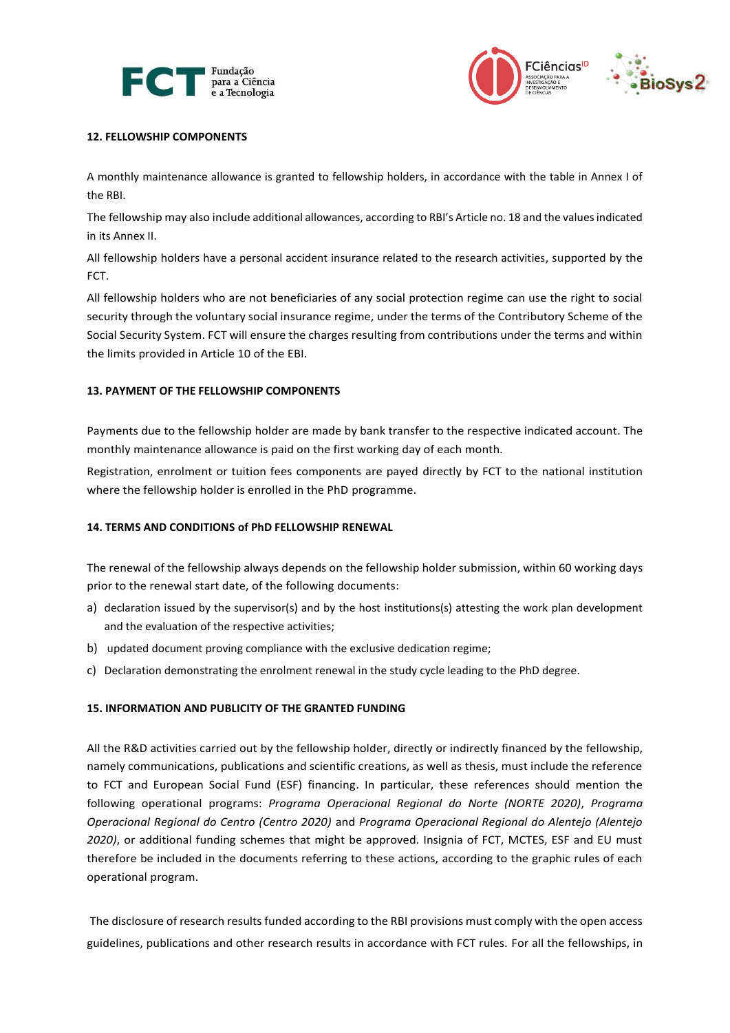



## **12. FELLOWSHIP COMPONENTS**

A monthly maintenance allowance is granted to fellowship holders, in accordance with the table in Annex I of the RBI.

The fellowship may also include additional allowances, according to RBI's Article no. 18 and the values indicated in its Annex II.

All fellowship holders have a personal accident insurance related to the research activities, supported by the FCT.

All fellowship holders who are not beneficiaries of any social protection regime can use the right to social security through the voluntary social insurance regime, under the terms of the Contributory Scheme of the Social Security System. FCT will ensure the charges resulting from contributions under the terms and within the limits provided in Article 10 of the EBI.

## **13. PAYMENT OF THE FELLOWSHIP COMPONENTS**

Payments due to the fellowship holder are made by bank transfer to the respective indicated account. The monthly maintenance allowance is paid on the first working day of each month.

Registration, enrolment or tuition fees components are payed directly by FCT to the national institution where the fellowship holder is enrolled in the PhD programme.

## **14. TERMS AND CONDITIONS of PhD FELLOWSHIP RENEWAL**

The renewal of the fellowship always depends on the fellowship holder submission, within 60 working days prior to the renewal start date, of the following documents:

- a) declaration issued by the supervisor(s) and by the host institutions(s) attesting the work plan development and the evaluation of the respective activities;
- b) updated document proving compliance with the exclusive dedication regime;
- c) Declaration demonstrating the enrolment renewal in the study cycle leading to the PhD degree.

#### **15. INFORMATION AND PUBLICITY OF THE GRANTED FUNDING**

All the R&D activities carried out by the fellowship holder, directly or indirectly financed by the fellowship, namely communications, publications and scientific creations, as well as thesis, must include the reference to FCT and European Social Fund (ESF) financing. In particular, these references should mention the following operational programs: *Programa Operacional Regional do Norte (NORTE 2020)*, *Programa Operacional Regional do Centro (Centro 2020)* and *Programa Operacional Regional do Alentejo (Alentejo 2020)*, or additional funding schemes that might be approved. Insignia of FCT, MCTES, ESF and EU must therefore be included in the documents referring to these actions, according to the graphic rules of each operational program.

The disclosure of research results funded according to the RBI provisions must comply with the open access guidelines, publications and other research results in accordance with FCT rules. For all the fellowships, in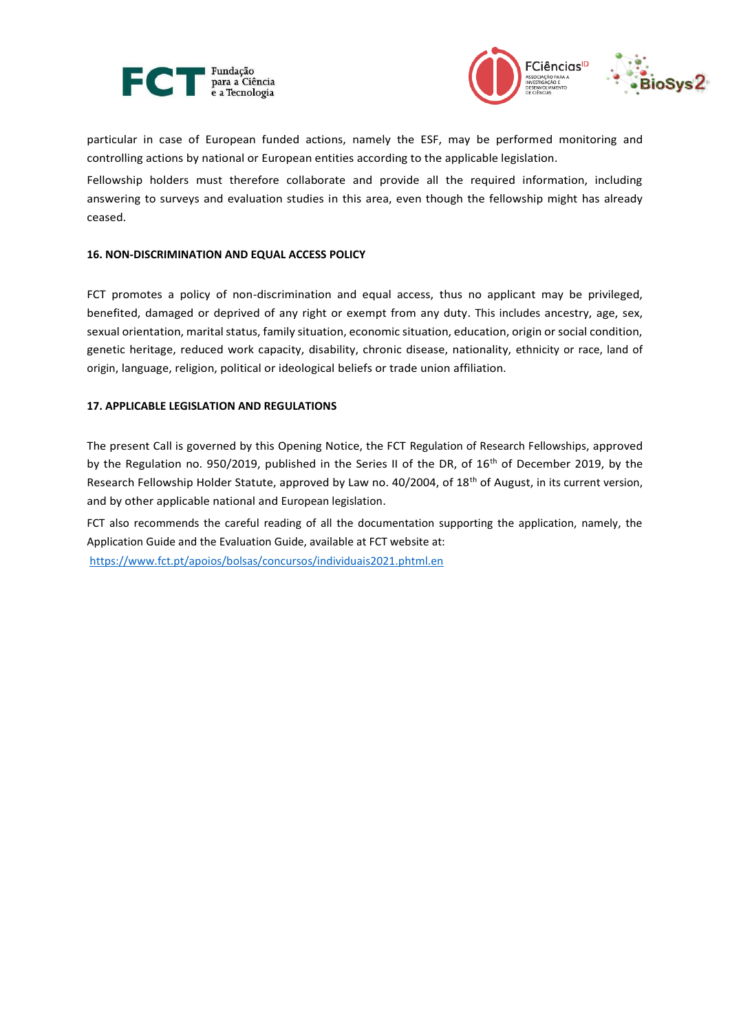



particular in case of European funded actions, namely the ESF, may be performed monitoring and controlling actions by national or European entities according to the applicable legislation.

Fellowship holders must therefore collaborate and provide all the required information, including answering to surveys and evaluation studies in this area, even though the fellowship might has already ceased.

### **16. NON-DISCRIMINATION AND EQUAL ACCESS POLICY**

FCT promotes a policy of non-discrimination and equal access, thus no applicant may be privileged, benefited, damaged or deprived of any right or exempt from any duty. This includes ancestry, age, sex, sexual orientation, marital status, family situation, economic situation, education, origin or social condition, genetic heritage, reduced work capacity, disability, chronic disease, nationality, ethnicity or race, land of origin, language, religion, political or ideological beliefs or trade union affiliation.

#### **17. APPLICABLE LEGISLATION AND REGULATIONS**

The present Call is governed by this Opening Notice, the FCT Regulation of Research Fellowships, approved by the Regulation no. 950/2019, published in the Series II of the DR, of 16<sup>th</sup> of December 2019, by the Research Fellowship Holder Statute, approved by Law no. 40/2004, of 18<sup>th</sup> of August, in its current version, and by other applicable national and European legislation.

FCT also recommends the careful reading of all the documentation supporting the application, namely, the Application Guide and the Evaluation Guide, available at FCT website at: <https://www.fct.pt/apoios/bolsas/concursos/individuais2021.phtml.en>